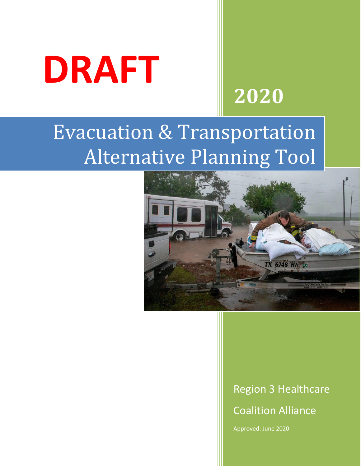

# **2020**

# Evacuation & Transportation Alternative Planning Tool



## Region 3 Healthcare Coalition Alliance

Approved: June 2020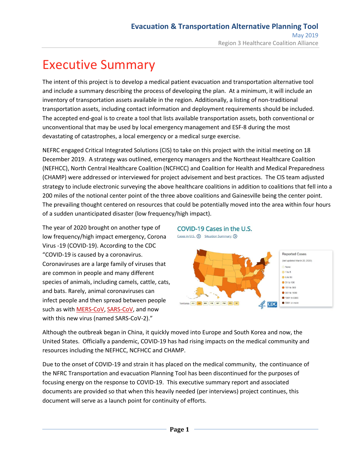### Executive Summary

The intent of this project is to develop a medical patient evacuation and transportation alternative tool and include a summary describing the process of developing the plan. At a minimum, it will include an inventory of transportation assets available in the region. Additionally, a listing of non-traditional transportation assets, including contact information and deployment requirements should be included. The accepted end-goal is to create a tool that lists available transportation assets, both conventional or unconventional that may be used by local emergency management and ESF-8 during the most devastating of catastrophes, a local emergency or a medical surge exercise.

NEFRC engaged Critical Integrated Solutions (CIS) to take on this project with the initial meeting on 18 December 2019. A strategy was outlined, emergency managers and the Northeast Healthcare Coalition (NEFHCC), North Central Healthcare Coalition (NCFHCC) and Coalition for Health and Medical Preparedness (CHAMP) were addressed or interviewed for project advisement and best practices. The CIS team adjusted strategy to include electronic surveying the above healthcare coalitions in addition to coalitions that fell into a 200 miles of the notional center point of the three above coalitions and Gainesville being the center point. The prevailing thought centered on resources that could be potentially moved into the area within four hours of a sudden unanticipated disaster (low frequency/high impact).

The year of 2020 brought on another type of low frequency/high impact emergency, Corona Virus -19 (COVID-19). According to the CDC "COVID-19 is caused by a coronavirus. Coronaviruses are a large family of viruses that are common in people and many different species of animals, including camels, cattle, cats, and bats. Rarely, animal coronaviruses can infect people and then spread between people such as with [MERS-CoV,](https://www.cdc.gov/coronavirus/mers/index.html) [SARS-CoV,](https://www.cdc.gov/sars/index.html) and now with this new virus (named SARS-CoV-2)."

#### COVID-19 Cases in the U.S.



Although the outbreak began in China, it quickly moved into Europe and South Korea and now, the United States. Officially a pandemic, COVID-19 has had rising impacts on the medical community and resources including the NEFHCC, NCFHCC and CHAMP.

Due to the onset of COVID-19 and strain it has placed on the medical community, the continuance of the NFRC Transportation and evacuation Planning Tool has been discontinued for the purposes of focusing energy on the response to COVID-19. This executive summary report and associated documents are provided so that when this heavily needed (per interviews) project continues, this document will serve as a launch point for continuity of efforts.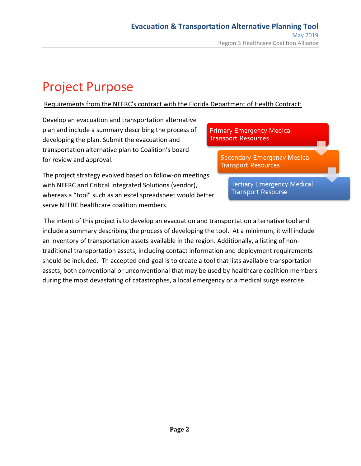## Project Purpose

Requirements from the NEFRC's contract with the Florida Department of Health Contract:

Develop an evacuation and transportation alternative plan and include a summary describing the process of developing the plan. Submit the evacuation and transportation alternative plan to Coalition's board for review and approval.

**Primary Emergency Medical Transport Resources** 

> **Secondary Emergency Medical Transport Resources**

The project strategy evolved based on follow-on meetings with NEFRC and Critical Integrated Solutions (vendor), whereas a "tool" such as an excel spreadsheet would better serve NEFRC healthcare coalition members.

**Tertiary Emergency Medical Transport Resourse** 

The intent of this project is to develop an evacuation and transportation alternative tool and include a summary describing the process of developing the tool. At a minimum, it will include an inventory of transportation assets available in the region. Additionally, a listing of nontraditional transportation assets, including contact information and deployment requirements should be included. Th accepted end-goal is to create a tool that lists available transportation assets, both conventional or unconventional that may be used by healthcare coalition members during the most devastating of catastrophes, a local emergency or a medical surge exercise.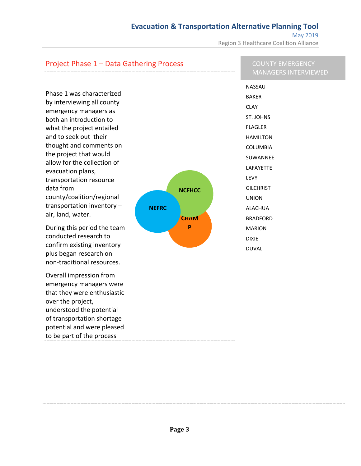#### **Evacuation & Transportation Alternative Planning Tool**

May 2019 Region 3 Healthcare Coalition Alliance

#### Project Phase 1 – Data Gathering Process

#### COUNTY EMERGENCY MANAGERS INTERVIEWED

Phase 1 was characterized by interviewing all county emergency managers as both an introduction to what the project entailed and to seek out their thought and comments on the project that would allow for the collection of evacuation plans, transportation resource data from county/coalition/regional transportation inventory – air, land, water.

During this period the team conducted research to confirm existing inventory plus began research on non-traditional resources.

Overall impression from emergency managers were that they were enthusiastic over the project, understood the potential of transportation shortage potential and were pleased to be part of the process



NASSAU BAKER CLAY ST. JOHNS FLAGLER HAMILTON COLUMBIA SUWANNEE LAFAYETTE LEVY **GILCHRIST** UNION ALACHUA **BRADFORD** MARION DIXIE DUVAL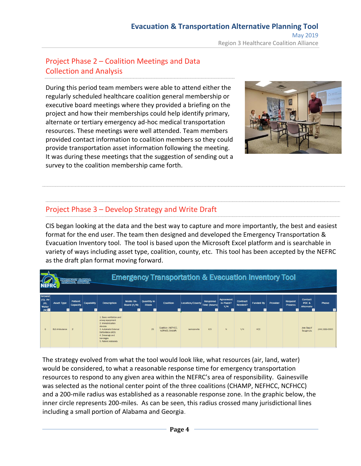#### Project Phase 2 – Coalition Meetings and Data Collection and Analysis

During this period team members were able to attend either the regularly scheduled healthcare coalition general membership or executive board meetings where they provided a briefing on the project and how their memberships could help identify primary, alternate or tertiary emergency ad-hoc medical transportation resources. These meetings were well attended. Team members provided contact information to coalition members so they could provide transportation asset information following the meeting. It was during these meetings that the suggestion of sending out a survey to the coalition membership came forth.



#### Project Phase 3 – Develop Strategy and Write Draft

CIS began looking at the data and the best way to capture and more importantly, the best and easiest format for the end user. The team then designed and developed the Emergency Transportation & Evacuation Inventory tool. The tool is based upon the Microsoft Excel platform and is searchable in variety of ways including asset type, coalition, county, etc. This tool has been accepted by the NEFRC as the draft plan format moving forward.

|                                                         | <b>Emergency Transportation &amp; Evacuation Inventory Tool</b><br>िलिल मान <b>्</b> दार<br><b>FLORIDA</b><br><b>REGIONAL</b> |                                                   |                   |                                                                                                                                                                                      |                                                      |                                               |                                      |                       |                                                 |                                    |                                                |                       |                     |                                  |                               |                  |
|---------------------------------------------------------|-------------------------------------------------------------------------------------------------------------------------------|---------------------------------------------------|-------------------|--------------------------------------------------------------------------------------------------------------------------------------------------------------------------------------|------------------------------------------------------|-----------------------------------------------|--------------------------------------|-----------------------|-------------------------------------------------|------------------------------------|------------------------------------------------|-----------------------|---------------------|----------------------------------|-------------------------------|------------------|
| <b>Ground</b><br>$(G)$ , Air<br>$(A)$ .<br>Water<br>(W) | <b>Asset Type</b><br>$\mathbf{v}$                                                                                             | <b>Patient</b><br><b>Capacity</b><br>$\mathbf{v}$ | <b>Capability</b> | <b>Description</b><br>ы                                                                                                                                                              | Medic On-<br>Board (Y/N)<br>$\vert \mathbf{v} \vert$ | <b>Quantity</b> in<br><b>Stock</b><br>$\cdot$ | Coalition                            | Location/County<br>۰H | <b>Response</b><br>Time (hours)<br>$\mathbf{v}$ | Agreement<br>in Place?<br>Y/N<br>÷ | Contract<br>Needed?<br>$\overline{\mathbf{v}}$ | <b>Funded By</b><br>v | Provider<br>$\cdot$ | <b>Request</b><br><b>Process</b> | Contact<br>POC &<br>Alternate | Phone            |
| G                                                       | <b>BLS Ambulance</b>                                                                                                          | $\mathcal{D}$                                     |                   | 1. Basic ventilation and<br>airway equipment<br>2. Immobilization<br>devices<br>3 Automatic External<br>Defibrillator (AED)<br>4. Dressings and<br>bandages<br>5. Patient restraints |                                                      | 25                                            | Coalition (NEFHCC,<br>NCFHCC, CHAMP) | Jacksonville          | 0.5                                             | N                                  | Y/N                                            | <b>HCC</b>            |                     |                                  | Joey Bag of<br>Doughnuts      | $(XXX)$ 999-0000 |

The strategy evolved from what the tool would look like, what resources (air, land, water) would be considered, to what a reasonable response time for emergency transportation resources to respond to any given area within the NEFRC's area of responsibility. Gainesville was selected as the notional center point of the three coalitions (CHAMP, NEFHCC, NCFHCC) and a 200-mile radius was established as a reasonable response zone. In the graphic below, the inner circle represents 200-miles. As can be seen, this radius crossed many jurisdictional lines including a small portion of Alabama and Georgia.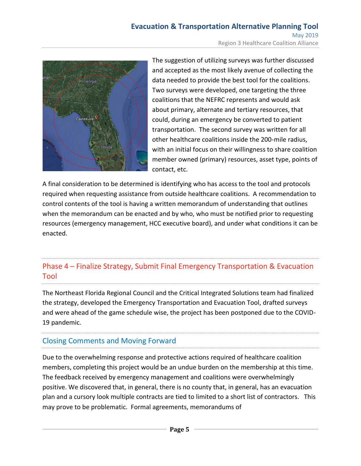#### **Evacuation & Transportation Alternative Planning Tool** May 2019

Region 3 Healthcare Coalition Alliance



The suggestion of utilizing surveys was further discussed and accepted as the most likely avenue of collecting the data needed to provide the best tool for the coalitions. Two surveys were developed, one targeting the three coalitions that the NEFRC represents and would ask about primary, alternate and tertiary resources, that could, during an emergency be converted to patient transportation. The second survey was written for all other healthcare coalitions inside the 200-mile radius, with an initial focus on their willingness to share coalition member owned (primary) resources, asset type, points of contact, etc.

A final consideration to be determined is identifying who has access to the tool and protocols required when requesting assistance from outside healthcare coalitions. A recommendation to control contents of the tool is having a written memorandum of understanding that outlines when the memorandum can be enacted and by who, who must be notified prior to requesting resources (emergency management, HCC executive board), and under what conditions it can be enacted.

#### Phase 4 – Finalize Strategy, Submit Final Emergency Transportation & Evacuation Tool

The Northeast Florida Regional Council and the Critical Integrated Solutions team had finalized the strategy, developed the Emergency Transportation and Evacuation Tool, drafted surveys and were ahead of the game schedule wise, the project has been postponed due to the COVID-19 pandemic.

#### Closing Comments and Moving Forward

Due to the overwhelming response and protective actions required of healthcare coalition members, completing this project would be an undue burden on the membership at this time. The feedback received by emergency management and coalitions were overwhelmingly positive. We discovered that, in general, there is no county that, in general, has an evacuation plan and a cursory look multiple contracts are tied to limited to a short list of contractors. This may prove to be problematic. Formal agreements, memorandums of